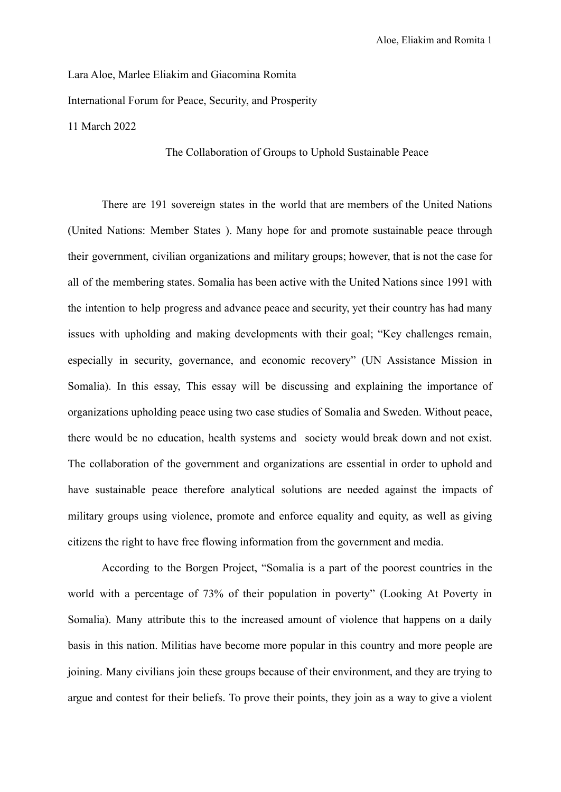Lara Aloe, Marlee Eliakim and Giacomina Romita International Forum for Peace, Security, and Prosperity 11 March 2022

## The Collaboration of Groups to Uphold Sustainable Peace

There are 191 sovereign states in the world that are members of the United Nations (United Nations: Member States ). Many hope for and promote sustainable peace through their government, civilian organizations and military groups; however, that is not the case for all of the membering states. Somalia has been active with the United Nations since 1991 with the intention to help progress and advance peace and security, yet their country has had many issues with upholding and making developments with their goal; "Key challenges remain, especially in security, governance, and economic recovery" (UN Assistance Mission in Somalia). In this essay, This essay will be discussing and explaining the importance of organizations upholding peace using two case studies of Somalia and Sweden. Without peace, there would be no education, health systems and society would break down and not exist. The collaboration of the government and organizations are essential in order to uphold and have sustainable peace therefore analytical solutions are needed against the impacts of military groups using violence, promote and enforce equality and equity, as well as giving citizens the right to have free flowing information from the government and media.

According to the Borgen Project, "Somalia is a part of the poorest countries in the world with a percentage of 73% of their population in poverty" (Looking At Poverty in Somalia). Many attribute this to the increased amount of violence that happens on a daily basis in this nation. Militias have become more popular in this country and more people are joining. Many civilians join these groups because of their environment, and they are trying to argue and contest for their beliefs. To prove their points, they join as a way to give a violent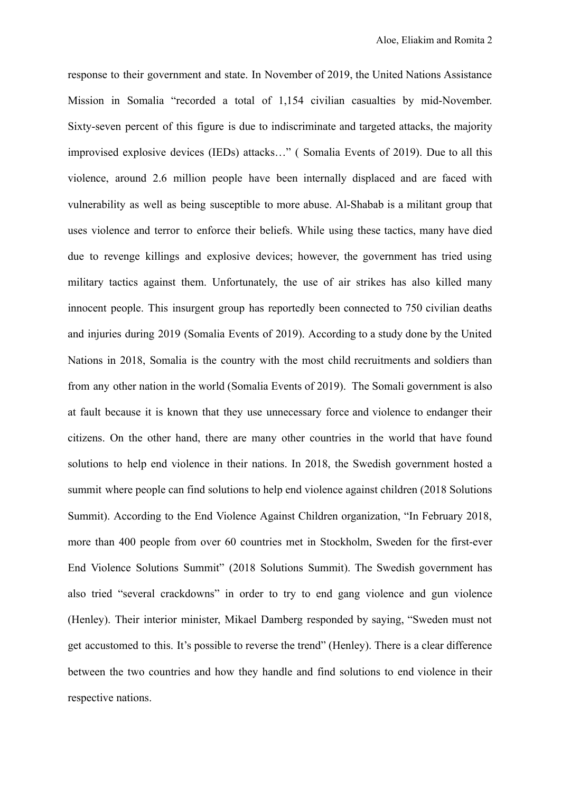response to their government and state. In November of 2019, the United Nations Assistance Mission in Somalia "recorded a total of 1,154 civilian casualties by mid-November. Sixty-seven percent of this figure is due to indiscriminate and targeted attacks, the majority improvised explosive devices (IEDs) attacks…" ( Somalia Events of 2019). Due to all this violence, around 2.6 million people have been internally displaced and are faced with vulnerability as well as being susceptible to more abuse. Al-Shabab is a militant group that uses violence and terror to enforce their beliefs. While using these tactics, many have died due to revenge killings and explosive devices; however, the government has tried using military tactics against them. Unfortunately, the use of air strikes has also killed many innocent people. This insurgent group has reportedly been connected to 750 civilian deaths and injuries during 2019 (Somalia Events of 2019). According to a study done by the United Nations in 2018, Somalia is the country with the most child recruitments and soldiers than from any other nation in the world (Somalia Events of 2019). The Somali government is also at fault because it is known that they use unnecessary force and violence to endanger their citizens. On the other hand, there are many other countries in the world that have found solutions to help end violence in their nations. In 2018, the Swedish government hosted a summit where people can find solutions to help end violence against children (2018 Solutions Summit). According to the End Violence Against Children organization, "In February 2018, more than 400 people from over 60 countries met in Stockholm, Sweden for the first-ever End Violence Solutions Summit" (2018 Solutions Summit). The Swedish government has also tried "several crackdowns" in order to try to end gang violence and gun violence (Henley). Their interior minister, Mikael Damberg responded by saying, "Sweden must not get accustomed to this. It's possible to reverse the trend" (Henley). There is a clear difference between the two countries and how they handle and find solutions to end violence in their respective nations.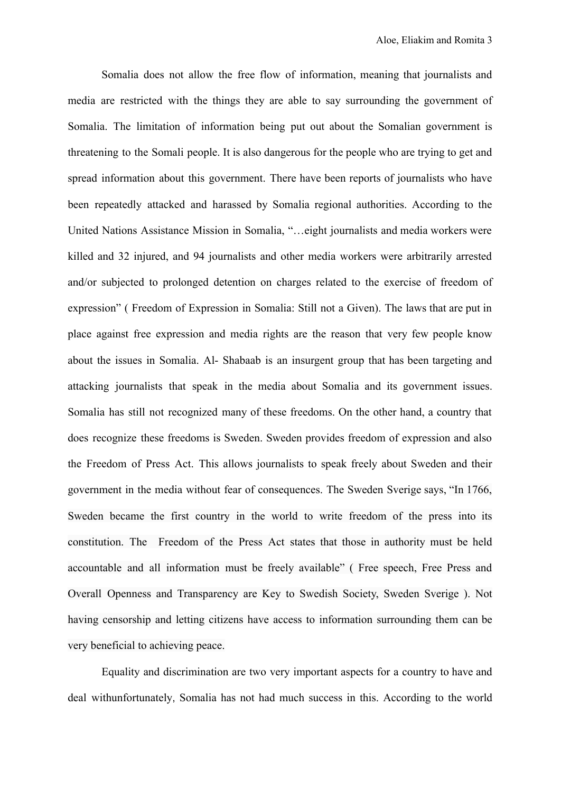Somalia does not allow the free flow of information, meaning that journalists and media are restricted with the things they are able to say surrounding the government of Somalia. The limitation of information being put out about the Somalian government is threatening to the Somali people. It is also dangerous for the people who are trying to get and spread information about this government. There have been reports of journalists who have been repeatedly attacked and harassed by Somalia regional authorities. According to the United Nations Assistance Mission in Somalia, "…eight journalists and media workers were killed and 32 injured, and 94 journalists and other media workers were arbitrarily arrested and/or subjected to prolonged detention on charges related to the exercise of freedom of expression" ( Freedom of Expression in Somalia: Still not a Given). The laws that are put in place against free expression and media rights are the reason that very few people know about the issues in Somalia. Al- Shabaab is an insurgent group that has been targeting and attacking journalists that speak in the media about Somalia and its government issues. Somalia has still not recognized many of these freedoms. On the other hand, a country that does recognize these freedoms is Sweden. Sweden provides freedom of expression and also the Freedom of Press Act. This allows journalists to speak freely about Sweden and their government in the media without fear of consequences. The Sweden Sverige says, "In 1766, Sweden became the first country in the world to write freedom of the press into its constitution. The Freedom of the Press Act states that those in authority must be held accountable and all information must be freely available" ( Free speech, Free Press and Overall Openness and Transparency are Key to Swedish Society, Sweden Sverige ). Not having censorship and letting citizens have access to information surrounding them can be very beneficial to achieving peace.

Equality and discrimination are two very important aspects for a country to have and deal withunfortunately, Somalia has not had much success in this. According to the world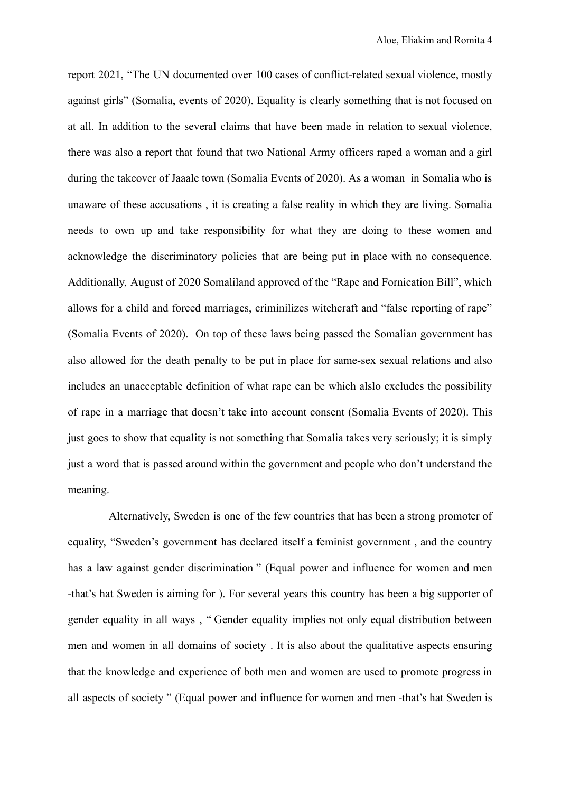report 2021, "The UN documented over 100 cases of conflict-related sexual violence, mostly against girls" (Somalia, events of 2020). Equality is clearly something that is not focused on at all. In addition to the several claims that have been made in relation to sexual violence, there was also a report that found that two National Army officers raped a woman and a girl during the takeover of Jaaale town (Somalia Events of 2020). As a woman in Somalia who is unaware of these accusations , it is creating a false reality in which they are living. Somalia needs to own up and take responsibility for what they are doing to these women and acknowledge the discriminatory policies that are being put in place with no consequence. Additionally, August of 2020 Somaliland approved of the "Rape and Fornication Bill", which allows for a child and forced marriages, criminilizes witchcraft and "false reporting of rape" (Somalia Events of 2020). On top of these laws being passed the Somalian government has also allowed for the death penalty to be put in place for same-sex sexual relations and also includes an unacceptable definition of what rape can be which alslo excludes the possibility of rape in a marriage that doesn't take into account consent (Somalia Events of 2020). This just goes to show that equality is not something that Somalia takes very seriously; it is simply just a word that is passed around within the government and people who don't understand the meaning.

Alternatively, Sweden is one of the few countries that has been a strong promoter of equality, "Sweden's government has declared itself a feminist government , and the country has a law against gender discrimination " (Equal power and influence for women and men -that's hat Sweden is aiming for ). For several years this country has been a big supporter of gender equality in all ways , " Gender equality implies not only equal distribution between men and women in all domains of society . It is also about the qualitative aspects ensuring that the knowledge and experience of both men and women are used to promote progress in all aspects of society " (Equal power and influence for women and men -that's hat Sweden is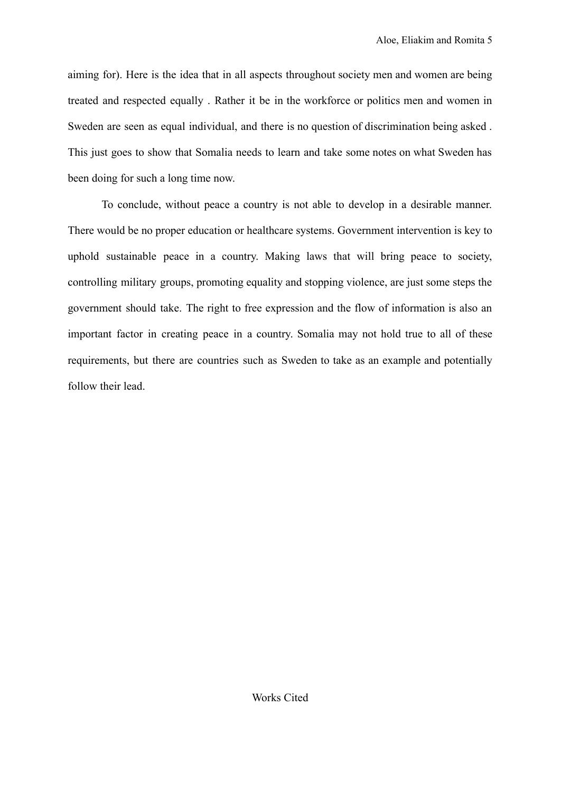aiming for). Here is the idea that in all aspects throughout society men and women are being treated and respected equally . Rather it be in the workforce or politics men and women in Sweden are seen as equal individual, and there is no question of discrimination being asked . This just goes to show that Somalia needs to learn and take some notes on what Sweden has been doing for such a long time now.

To conclude, without peace a country is not able to develop in a desirable manner. There would be no proper education or healthcare systems. Government intervention is key to uphold sustainable peace in a country. Making laws that will bring peace to society, controlling military groups, promoting equality and stopping violence, are just some steps the government should take. The right to free expression and the flow of information is also an important factor in creating peace in a country. Somalia may not hold true to all of these requirements, but there are countries such as Sweden to take as an example and potentially follow their lead.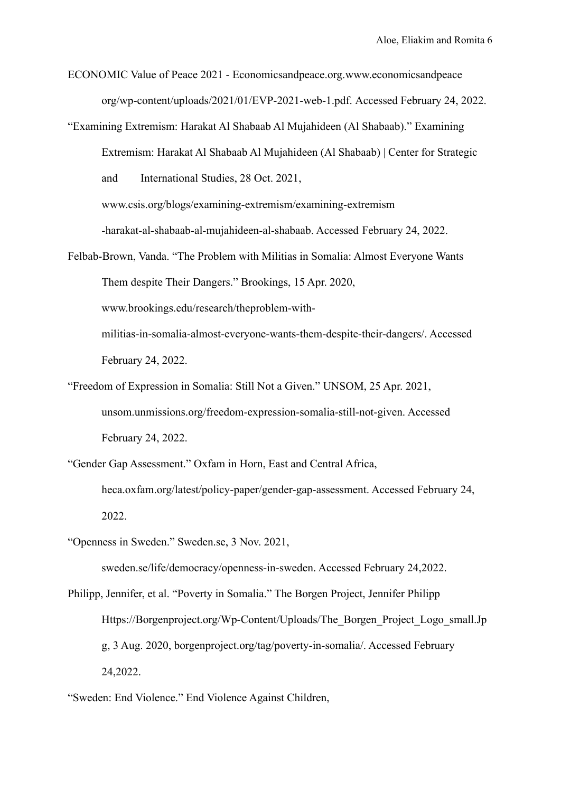ECONOMIC Value of Peace 2021 - Economicsandpeace.org.[www.economicsandpeace](http://www.economicsandpeace.org/wp-content/uploads/2021/01/EVP-2021-) [org/wp-content/uploads/2021/01/EVP-2021-](http://www.economicsandpeace.org/wp-content/uploads/2021/01/EVP-2021-)web-1.pdf. Accessed February 24, 2022.

"Examining Extremism: Harakat Al Shabaab Al Mujahideen (Al Shabaab)." Examining Extremism: Harakat Al Shabaab Al Mujahideen (Al Shabaab) | Center for Strategic and International Studies, 28 Oct. 2021,

[www.csis.org/blogs/examining-extremism/examining-extremism](http://www.csis.org/blogs/examining-extremism/examining-extremism-harakat-)

[-harakat-](http://www.csis.org/blogs/examining-extremism/examining-extremism-harakat-)al-shabaab-al-mujahideen-al-shabaab. Accessed February 24, 2022.

Felbab-Brown, Vanda. "The Problem with Militias in Somalia: Almost Everyone Wants Them despite Their Dangers." Brookings, 15 Apr. 2020, [www.brookings.edu/research/the](http://www.brookings.edu/research/the-)problem-withmilitias-in-somalia-almost-everyone-wants-them-despite-their-dangers/. Accessed February 24, 2022.

- "Freedom of Expression in Somalia: Still Not a Given." UNSOM, 25 Apr. 2021, unsom.unmissions.org/freedom-expression-somalia-still-not-given. Accessed February 24, 2022.
- "Gender Gap Assessment." Oxfam in Horn, East and Central Africa, heca.oxfam.org/latest/policy-paper/gender-gap-assessment. Accessed February 24, 2022.

"Openness in Sweden." Sweden.se, 3 Nov. 2021, sweden.se/life/democracy/openness-in-sweden. Accessed February 24,2022.

Philipp, Jennifer, et al. "Poverty in Somalia." The Borgen Project, Jennifer Philipp Https://Borgenproject.org/Wp-Content/Uploads/The\_Borgen\_Project\_Logo\_small.Jp g, 3 Aug. 2020, borgenproject.org/tag/poverty-in-somalia/. Accessed February 24,2022.

<sup>&</sup>quot;Sweden: End Violence." End Violence Against Children,